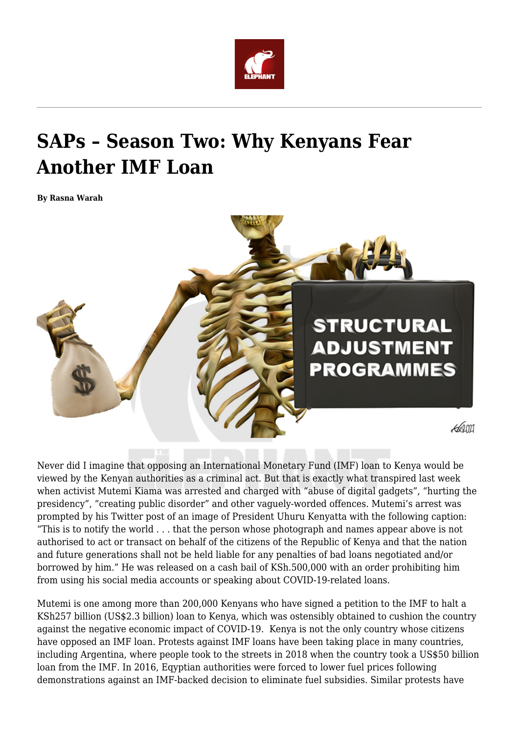

## **SAPs – Season Two: Why Kenyans Fear Another IMF Loan**

**By Rasna Warah**



Never did I imagine that opposing an International Monetary Fund (IMF) loan to Kenya would be viewed by the Kenyan authorities as a criminal act. But that is exactly what transpired last week when activist Mutemi Kiama was arrested and charged with "abuse of digital gadgets", "hurting the presidency", "creating public disorder" and other vaguely-worded offences. Mutemi's arrest was prompted by his Twitter post of an image of President Uhuru Kenyatta with the following caption: "This is to notify the world . . . that the person whose photograph and names appear above is not authorised to act or transact on behalf of the citizens of the Republic of Kenya and that the nation and future generations shall not be held liable for any penalties of bad loans negotiated and/or borrowed by him." He was released on a cash bail of KSh.500,000 with an order prohibiting him from using his social media accounts or speaking about COVID-19-related loans.

Mutemi is one among more than 200,000 Kenyans who have signed a petition to the IMF to halt a KSh257 billion (US\$2.3 billion) loan to Kenya, which was ostensibly obtained to cushion the country against the negative economic impact of COVID-19. Kenya is not the only country whose citizens have opposed an IMF loan. Protests against IMF loans have been taking place in many countries, including Argentina, where people took to the streets in 2018 when the country took a US\$50 billion loan from the IMF. In 2016, Eqyptian authorities were forced to lower fuel prices following demonstrations against an IMF-backed decision to eliminate fuel subsidies. Similar protests have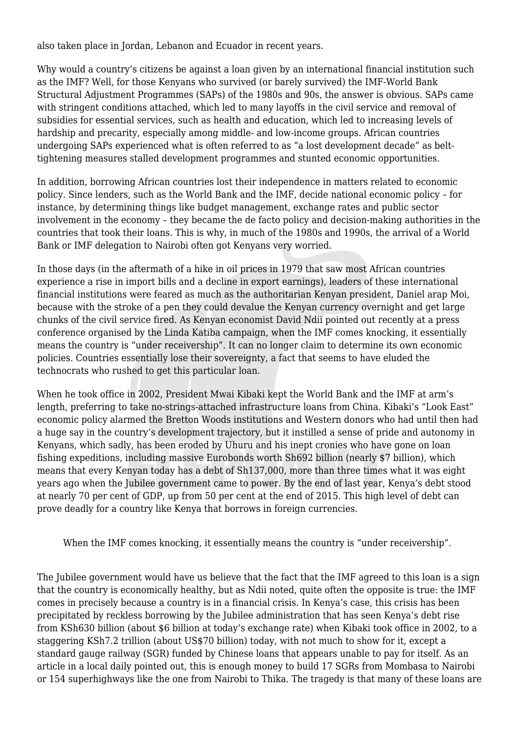also taken place in Jordan, Lebanon and Ecuador in recent years.

Why would a country's citizens be against a loan given by an international financial institution such as the IMF? Well, for those Kenyans who survived (or barely survived) the IMF-World Bank Structural Adjustment Programmes (SAPs) of the 1980s and 90s, the answer is obvious. SAPs came with stringent conditions attached, which led to many layoffs in the civil service and removal of subsidies for essential services, such as health and education, which led to increasing levels of hardship and precarity, especially among middle- and low-income groups. African countries undergoing SAPs experienced what is often referred to as "a lost development decade" as belttightening measures stalled development programmes and stunted economic opportunities.

In addition, borrowing African countries lost their independence in matters related to economic policy. Since lenders, such as the World Bank and the IMF, decide national economic policy – for instance, by determining things like budget management, exchange rates and public sector involvement in the economy – they became the de facto policy and decision-making authorities in the countries that took their loans. This is why, in much of the 1980s and 1990s, the arrival of a World Bank or IMF delegation to Nairobi often got Kenyans very worried.

In those days (in the aftermath of a hike in oil prices in 1979 that saw most African countries experience a rise in import bills and a decline in export earnings), leaders of these international financial institutions were feared as much as the authoritarian Kenyan president, Daniel arap Moi, because with the stroke of a pen they could devalue the Kenyan currency overnight and get large chunks of the civil service fired. As Kenyan economist David Ndii pointed out recently at a press conference organised by the Linda Katiba campaign, when the IMF comes knocking, it essentially means the country is "under receivership". It can no longer claim to determine its own economic policies. Countries essentially lose their sovereignty, a fact that seems to have eluded the technocrats who rushed to get this particular loan.

When he took office in 2002, President Mwai Kibaki kept the World Bank and the IMF at arm's length, preferring to take no-strings-attached infrastructure loans from China. Kibaki's "Look East" economic policy alarmed the Bretton Woods institutions and Western donors who had until then had a huge say in the country's development trajectory, but it instilled a sense of pride and autonomy in Kenyans, which sadly, has been eroded by Uhuru and his inept cronies who have gone on loan fishing expeditions, including massive Eurobonds worth Sh692 billion (nearly \$7 billion), which means that every Kenyan today has a debt of Sh137,000, more than three times what it was eight years ago when the Jubilee government came to power. By the end of last year, Kenya's debt stood at nearly 70 per cent of GDP, up from 50 per cent at the end of 2015. This high level of debt can prove deadly for a country like Kenya that borrows in foreign currencies.

When the IMF comes knocking, it essentially means the country is "under receivership".

The Jubilee government would have us believe that the fact that the IMF agreed to this loan is a sign that the country is economically healthy, but as Ndii noted, quite often the opposite is true: the IMF comes in precisely because a country is in a financial crisis. In Kenya's case, this crisis has been precipitated by reckless borrowing by the Jubilee administration that has seen Kenya's debt rise from KSh630 billion (about \$6 billion at today's exchange rate) when Kibaki took office in 2002, to a staggering KSh7.2 trillion (about US\$70 billion) today, with not much to show for it, except a standard gauge railway (SGR) funded by Chinese loans that appears unable to pay for itself. As an article in a local daily pointed out, this is enough money to build 17 SGRs from Mombasa to Nairobi or 154 superhighways like the one from Nairobi to Thika. The tragedy is that many of these loans are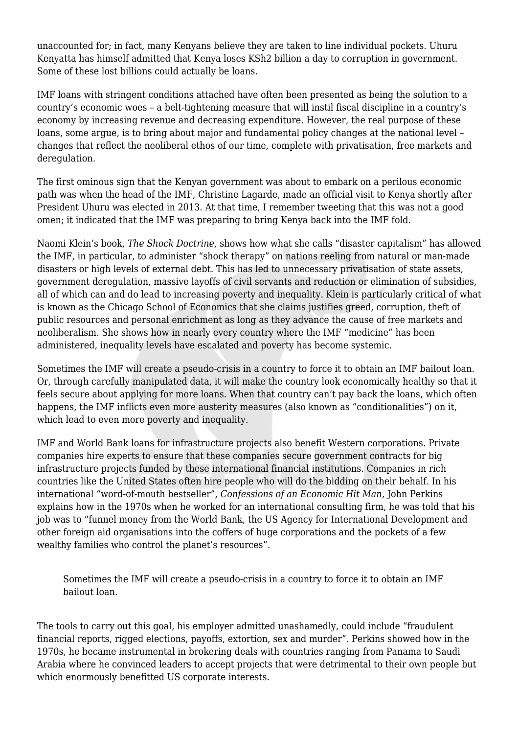unaccounted for; in fact, many Kenyans believe they are taken to line individual pockets. Uhuru Kenyatta has himself admitted that Kenya loses KSh2 billion a day to corruption in government. Some of these lost billions could actually be loans.

IMF loans with stringent conditions attached have often been presented as being the solution to a country's economic woes – a belt-tightening measure that will instil fiscal discipline in a country's economy by increasing revenue and decreasing expenditure. However, the real purpose of these loans, some argue, is to bring about major and fundamental policy changes at the national level – changes that reflect the neoliberal ethos of our time, complete with privatisation, free markets and deregulation.

The first ominous sign that the Kenyan government was about to embark on a perilous economic path was when the head of the IMF, Christine Lagarde, made an official visit to Kenya shortly after President Uhuru was elected in 2013. At that time, I remember tweeting that this was not a good omen; it indicated that the IMF was preparing to bring Kenya back into the IMF fold.

Naomi Klein's book, *The Shock Doctrine,* shows how what she calls "disaster capitalism" has allowed the IMF, in particular, to administer "shock therapy" on nations reeling from natural or man-made disasters or high levels of external debt. This has led to unnecessary privatisation of state assets, government deregulation, massive layoffs of civil servants and reduction or elimination of subsidies, all of which can and do lead to increasing poverty and inequality. Klein is particularly critical of what is known as the Chicago School of Economics that she claims justifies greed, corruption, theft of public resources and personal enrichment as long as they advance the cause of free markets and neoliberalism. She shows how in nearly every country where the IMF "medicine" has been administered, inequality levels have escalated and poverty has become systemic.

Sometimes the IMF will create a pseudo-crisis in a country to force it to obtain an IMF bailout loan. Or, through carefully manipulated data, it will make the country look economically healthy so that it feels secure about applying for more loans. When that country can't pay back the loans, which often happens, the IMF inflicts even more austerity measures (also known as "conditionalities") on it, which lead to even more poverty and inequality.

IMF and World Bank loans for infrastructure projects also benefit Western corporations. Private companies hire experts to ensure that these companies secure government contracts for big infrastructure projects funded by these international financial institutions. Companies in rich countries like the United States often hire people who will do the bidding on their behalf. In his international "word-of-mouth bestseller"*, Confessions of an Economic Hit Man,* John Perkins explains how in the 1970s when he worked for an international consulting firm, he was told that his job was to "funnel money from the World Bank, the US Agency for International Development and other foreign aid organisations into the coffers of huge corporations and the pockets of a few wealthy families who control the planet's resources".

Sometimes the IMF will create a pseudo-crisis in a country to force it to obtain an IMF bailout loan.

The tools to carry out this goal, his employer admitted unashamedly, could include "fraudulent financial reports, rigged elections, payoffs, extortion, sex and murder". Perkins showed how in the 1970s, he became instrumental in brokering deals with countries ranging from Panama to Saudi Arabia where he convinced leaders to accept projects that were detrimental to their own people but which enormously benefitted US corporate interests.